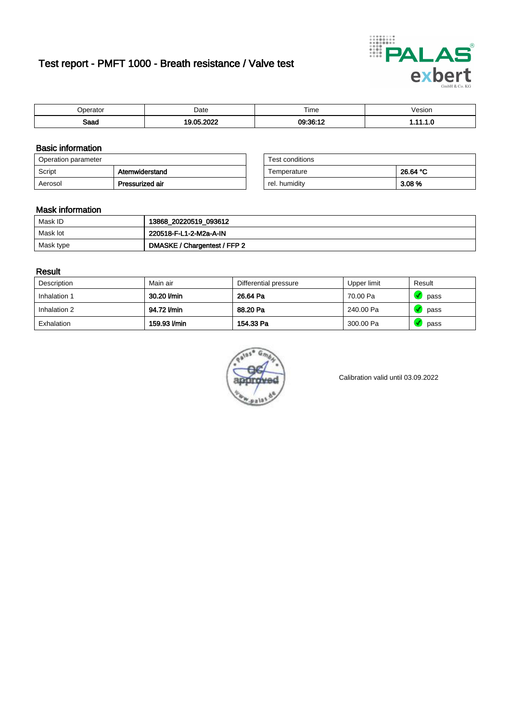# Test report - PMFT 1000 - Breath resistance / Valve test



| )perator | Date                  | $- \cdot$<br>i ime | /esion |
|----------|-----------------------|--------------------|--------|
| Saad     | 000<br><b>OF</b><br>. | 09:36:11           | .      |

### Basic information

| Operation parameter |                 | Test conditions |          |
|---------------------|-----------------|-----------------|----------|
| Script              | Atemwiderstand  | Temperature     | 26.64 °C |
| Aerosol             | Pressurized air | rel. humidity   | 3.08 %   |

| Test conditions |          |
|-----------------|----------|
| Temperature     | 26.64 °C |
| rel. humidity   | 3.08%    |

#### Mask information

| Mask ID   | 13868_20220519_093612        |
|-----------|------------------------------|
| Mask lot  | 220518-F-L1-2-M2a-A-IN       |
| Mask type | DMASKE / Chargentest / FFP 2 |

#### Result

| Description  | Main air     | Differential pressure | Upper limit | Result |
|--------------|--------------|-----------------------|-------------|--------|
| Inhalation 1 | 30.20 l/min  | 26.64 Pa              | 70.00 Pa    | pass   |
| Inhalation 2 | 94.72 l/min  | 88.20 Pa              | 240.00 Pa   | pass   |
| Exhalation   | 159.93 l/min | 154.33 Pa             | 300.00 Pa   | pass   |



Calibration valid until 03.09.2022